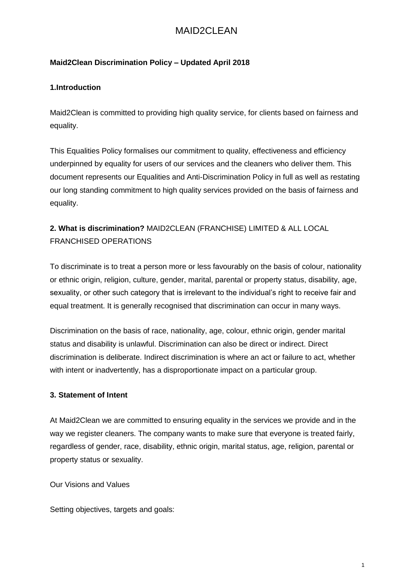# MAID2CLEAN

### **Maid2Clean Discrimination Policy – Updated April 2018**

#### **1.Introduction**

Maid2Clean is committed to providing high quality service, for clients based on fairness and equality.

This Equalities Policy formalises our commitment to quality, effectiveness and efficiency underpinned by equality for users of our services and the cleaners who deliver them. This document represents our Equalities and Anti-Discrimination Policy in full as well as restating our long standing commitment to high quality services provided on the basis of fairness and equality.

## **2. What is discrimination?** MAID2CLEAN (FRANCHISE) LIMITED & ALL LOCAL FRANCHISED OPERATIONS

To discriminate is to treat a person more or less favourably on the basis of colour, nationality or ethnic origin, religion, culture, gender, marital, parental or property status, disability, age, sexuality, or other such category that is irrelevant to the individual's right to receive fair and equal treatment. It is generally recognised that discrimination can occur in many ways.

Discrimination on the basis of race, nationality, age, colour, ethnic origin, gender marital status and disability is unlawful. Discrimination can also be direct or indirect. Direct discrimination is deliberate. Indirect discrimination is where an act or failure to act, whether with intent or inadvertently, has a disproportionate impact on a particular group.

#### **3. Statement of Intent**

At Maid2Clean we are committed to ensuring equality in the services we provide and in the way we register cleaners. The company wants to make sure that everyone is treated fairly, regardless of gender, race, disability, ethnic origin, marital status, age, religion, parental or property status or sexuality.

Our Visions and Values

Setting objectives, targets and goals: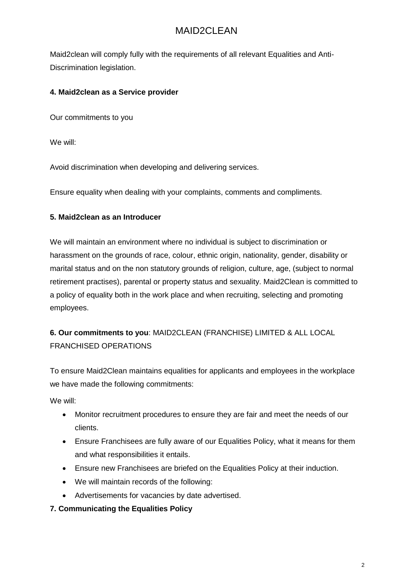# MAID2CLEAN

Maid2clean will comply fully with the requirements of all relevant Equalities and Anti-Discrimination legislation.

### **4. Maid2clean as a Service provider**

Our commitments to you

We will:

Avoid discrimination when developing and delivering services.

Ensure equality when dealing with your complaints, comments and compliments.

#### **5. Maid2clean as an Introducer**

We will maintain an environment where no individual is subject to discrimination or harassment on the grounds of race, colour, ethnic origin, nationality, gender, disability or marital status and on the non statutory grounds of religion, culture, age, (subject to normal retirement practises), parental or property status and sexuality. Maid2Clean is committed to a policy of equality both in the work place and when recruiting, selecting and promoting employees.

### **6. Our commitments to you**: MAID2CLEAN (FRANCHISE) LIMITED & ALL LOCAL FRANCHISED OPERATIONS

To ensure Maid2Clean maintains equalities for applicants and employees in the workplace we have made the following commitments:

We will:

- Monitor recruitment procedures to ensure they are fair and meet the needs of our clients.
- Ensure Franchisees are fully aware of our Equalities Policy, what it means for them and what responsibilities it entails.
- Ensure new Franchisees are briefed on the Equalities Policy at their induction.
- We will maintain records of the following:
- Advertisements for vacancies by date advertised.

#### **7. Communicating the Equalities Policy**